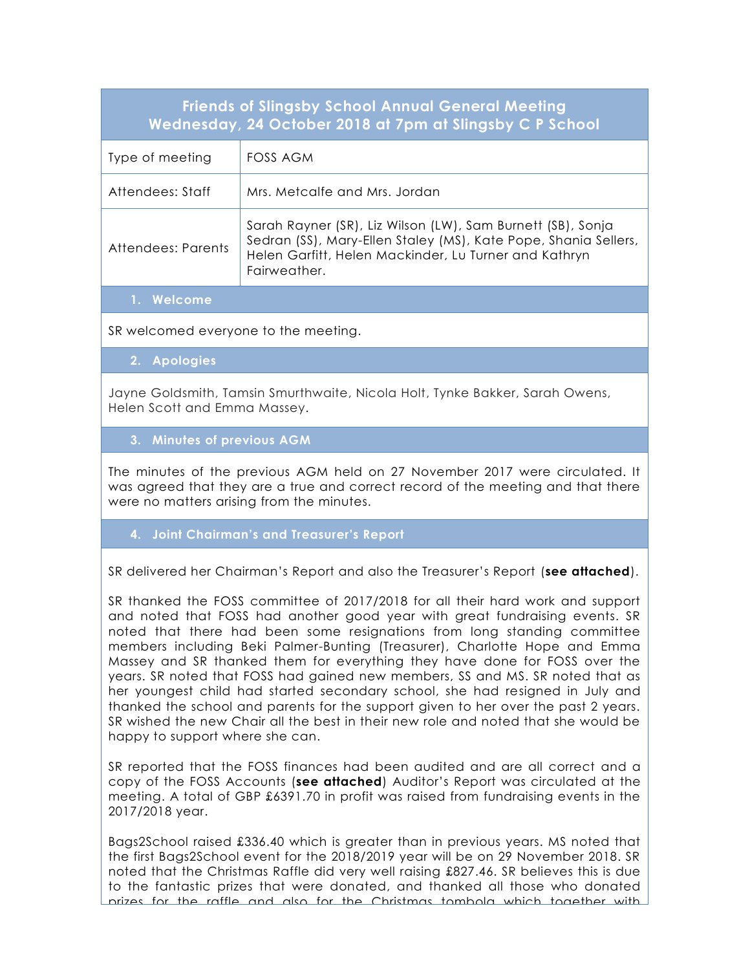| <b>Friends of Slingsby School Annual General Meeting</b><br>Wednesday, 24 October 2018 at 7pm at Slingsby C P School |                                                                                                                                                                                                         |
|----------------------------------------------------------------------------------------------------------------------|---------------------------------------------------------------------------------------------------------------------------------------------------------------------------------------------------------|
| Type of meeting                                                                                                      | FOSS AGM                                                                                                                                                                                                |
| Attendees: Staff                                                                                                     | Mrs. Metcalfe and Mrs. Jordan                                                                                                                                                                           |
| Attendees: Parents                                                                                                   | Sarah Rayner (SR), Liz Wilson (LW), Sam Burnett (SB), Sonja<br>Sedran (SS), Mary-Ellen Staley (MS), Kate Pope, Shania Sellers,<br>Helen Garfitt, Helen Mackinder, Lu Turner and Kathryn<br>Fairweather. |
| Welcome                                                                                                              |                                                                                                                                                                                                         |

SR welcomed everyone to the meeting.

**2. Apologies**

Jayne Goldsmith, Tamsin Smurthwaite, Nicola Holt, Tynke Bakker, Sarah Owens, Helen Scott and Emma Massey.

**3. Minutes of previous AGM**

The minutes of the previous AGM held on 27 November 2017 were circulated. It was agreed that they are a true and correct record of the meeting and that there were no matters arising from the minutes.

**4. Joint Chairman's and Treasurer's Report**

SR delivered her Chairman's Report and also the Treasurer's Report (**see attached**).

SR thanked the FOSS committee of 2017/2018 for all their hard work and support and noted that FOSS had another good year with great fundraising events. SR noted that there had been some resignations from long standing committee members including Beki Palmer-Bunting (Treasurer), Charlotte Hope and Emma Massey and SR thanked them for everything they have done for FOSS over the years. SR noted that FOSS had gained new members, SS and MS. SR noted that as her youngest child had started secondary school, she had resigned in July and thanked the school and parents for the support given to her over the past 2 years. SR wished the new Chair all the best in their new role and noted that she would be happy to support where she can.

SR reported that the FOSS finances had been audited and are all correct and a copy of the FOSS Accounts (**see attached**) Auditor's Report was circulated at the meeting. A total of GBP £6391.70 in profit was raised from fundraising events in the 2017/2018 year.

Bags2School raised £336.40 which is greater than in previous years. MS noted that the first Bags2School event for the 2018/2019 year will be on 29 November 2018. SR noted that the Christmas Raffle did very well raising £827.46. SR believes this is due to the fantastic prizes that were donated, and thanked all those who donated prizes for the raffle and also for the Christmas tombola which together with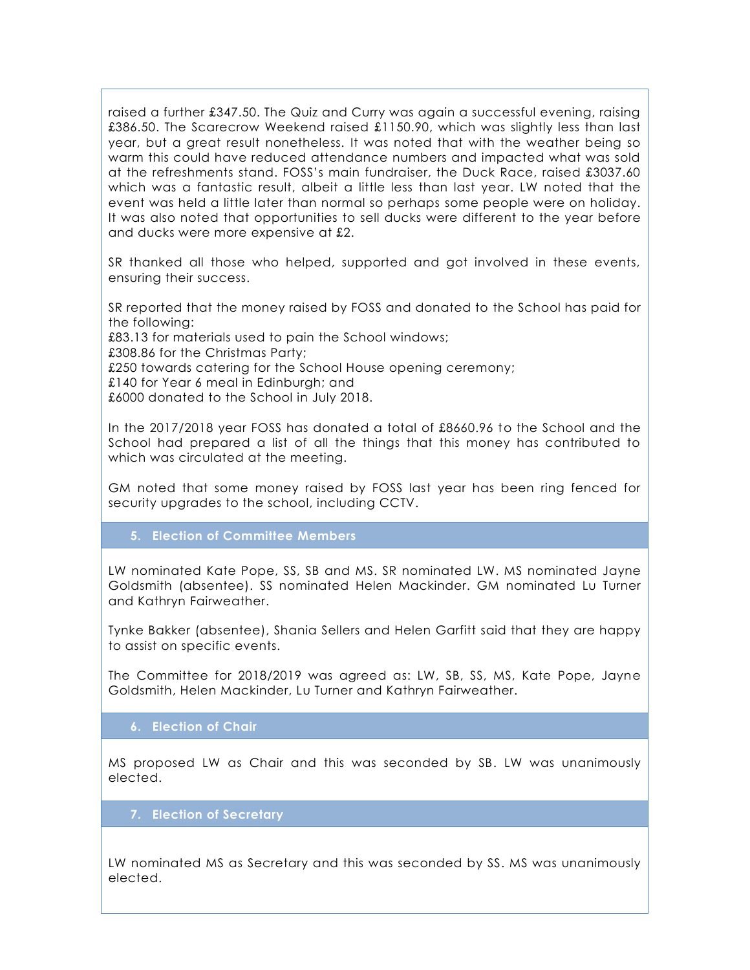raised a further £347.50. The Quiz and Curry was again a successful evening, raising £386.50. The Scarecrow Weekend raised £1150.90, which was slightly less than last year, but a great result nonetheless. It was noted that with the weather being so warm this could have reduced attendance numbers and impacted what was sold at the refreshments stand. FOSS's main fundraiser, the Duck Race, raised £3037.60 which was a fantastic result, albeit a little less than last year. LW noted that the event was held a little later than normal so perhaps some people were on holiday. It was also noted that opportunities to sell ducks were different to the year before and ducks were more expensive at £2.

SR thanked all those who helped, supported and got involved in these events, ensuring their success.

SR reported that the money raised by FOSS and donated to the School has paid for the following:

£83.13 for materials used to pain the School windows;

£308.86 for the Christmas Party;

£250 towards catering for the School House opening ceremony;

£140 for Year 6 meal in Edinburgh; and

£6000 donated to the School in July 2018.

In the 2017/2018 year FOSS has donated a total of £8660.96 to the School and the School had prepared a list of all the things that this money has contributed to which was circulated at the meeting.

GM noted that some money raised by FOSS last year has been ring fenced for security upgrades to the school, including CCTV.

### **5. Election of Committee Members**

LW nominated Kate Pope, SS, SB and MS. SR nominated LW. MS nominated Jayne Goldsmith (absentee). SS nominated Helen Mackinder. GM nominated Lu Turner and Kathryn Fairweather.

Tynke Bakker (absentee), Shania Sellers and Helen Garfitt said that they are happy to assist on specific events.

The Committee for 2018/2019 was agreed as: LW, SB, SS, MS, Kate Pope, Jayne Goldsmith, Helen Mackinder, Lu Turner and Kathryn Fairweather.

#### **6. Election of Chair**

elected. The State M Stales as Secretary as Secretary as Secretary as Secretary as Secretary as Secretary as S MS proposed LW as Chair and this was seconded by SB. LW was unanimously

# M Staley nominates S Sedran as Treasurer **7. Election of Secretary**

LW nominated MS as Secretary and this was seconded by SS. MS was unanimously elected.